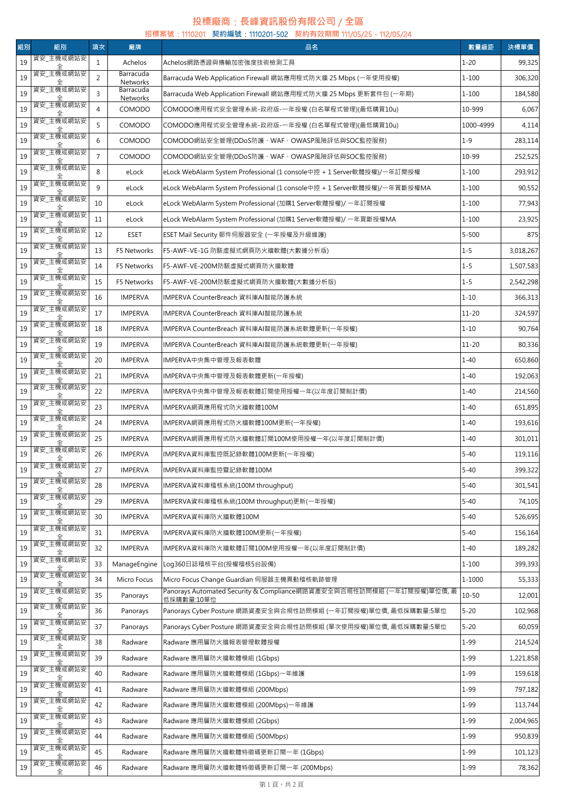## **投標廠商**:**長峰資訊股份有限公司** / **全區**

| 招標案號:1110201 契約編號:1110201-502 契約有效期間 111/05/25 - 112/05/24 |                                    |                |                       |                                                                                     |           |           |  |  |  |  |  |
|------------------------------------------------------------|------------------------------------|----------------|-----------------------|-------------------------------------------------------------------------------------|-----------|-----------|--|--|--|--|--|
| 組別                                                         | 組別                                 | 項次             | 廠牌                    | 品名                                                                                  | 數量級距      | 決標單價      |  |  |  |  |  |
| 19                                                         | 資安_主機或網站安                          | $\mathbf{1}$   | Achelos               | Achelos網路憑證與傳輸加密強度技術檢測工具                                                            | $1 - 20$  | 99,325    |  |  |  |  |  |
| 19                                                         | 資安_主機或網站安                          | $\overline{2}$ | Barracuda<br>Networks | Barracuda Web Application Firewall 網站應用程式防火牆 25 Mbps (一年使用授權)                       | $1 - 100$ | 306,320   |  |  |  |  |  |
| 19                                                         | 資安_主機或網站安                          | 3              | Barracuda<br>Networks | Barracuda Web Application Firewall 網站應用程式防火牆 25 Mbps 更新套件包 (一年期)                    | $1 - 100$ | 184,580   |  |  |  |  |  |
| 19                                                         | 資安_主機或網站安                          | $\overline{4}$ | COMODO                | COMODO應用程式安全管理系統-政府版-一年授權 (白名單程式管理)(最低購買10u)                                        | 10-999    | 6,067     |  |  |  |  |  |
| 19                                                         | 資安_主機或網站安                          | 5              | COMODO                | COMODO應用程式安全管理系統-政府版-一年授權 (白名單程式管理)(最低購買10u)                                        | 1000-4999 | 4,114     |  |  |  |  |  |
| 19                                                         | 資安_主機或網站安                          | 6              | COMODO                | COMODO網站安全管理(DDoS防護、WAF、OWASP風險評估與SOC監控服務)                                          | $1 - 9$   | 283,114   |  |  |  |  |  |
| 19                                                         | 資安_主機或網站安                          | $\overline{7}$ | COMODO                | COMODO網站安全管理(DDoS防護、WAF、OWASP風險評估與SOC監控服務)                                          | 10-99     | 252,525   |  |  |  |  |  |
| 19                                                         | 資安_主機或網站安                          | 8              | eLock                 | eLock WebAlarm System Professional (1 console中控 + 1 Server軟體授權)/一年訂閱授權              | $1 - 100$ | 293,912   |  |  |  |  |  |
| 19                                                         | 資安_主機或網站安                          | 9              | eLock                 | eLock WebAlarm System Professional (1 console中控 + 1 Server軟體授權)/一年買斷授權MA            | $1 - 100$ | 90,552    |  |  |  |  |  |
| 19                                                         | 資安_主機或網站安                          | 10             | eLock                 | eLock WebAlarm System Professional (加購1 Server軟體授權)/ 一年訂閱授權                         | $1 - 100$ | 77,943    |  |  |  |  |  |
| 19                                                         | 資安_主機或網站安                          | 11             | eLock                 | eLock WebAlarm System Professional (加購1 Server軟體授權)/ 一年買斷授權MA                       | $1 - 100$ | 23,925    |  |  |  |  |  |
| 19                                                         | 資安_主機或網站安                          | 12             | <b>ESET</b>           | ESET Mail Security 郵件伺服器安全 (一年授權及升級維護)                                              | $5 - 500$ | 875       |  |  |  |  |  |
| 19                                                         | 資安_主機或網站安                          | 13             | F5 Networks           | F5-AWF-VE-1G 防駭虛擬式網頁防火牆軟體(大數據分析版)                                                   | $1 - 5$   | 3,018,267 |  |  |  |  |  |
| 19                                                         | 資安_主機或網站安                          | 14             | F5 Networks           | F5-AWF-VE-200M防駭虛擬式網頁防火牆軟體                                                          | $1 - 5$   | 1,507,583 |  |  |  |  |  |
| 19                                                         | 資安_主機或網站安                          | 15             | F5 Networks           | F5-AWF-VE-200M防駭虛擬式網頁防火牆軟體(大數據分析版)                                                  | $1 - 5$   | 2,542,298 |  |  |  |  |  |
| 19                                                         | 資安_主機或網站安                          | 16             | <b>IMPERVA</b>        | IMPERVA CounterBreach 資料庫AI智能防護系統                                                   | $1 - 10$  | 366,313   |  |  |  |  |  |
| 19                                                         | 資安_主機或網站安                          | 17             | <b>IMPERVA</b>        | IMPERVA CounterBreach 資料庫AI智能防護系統                                                   | $11 - 20$ | 324,597   |  |  |  |  |  |
| 19                                                         | 資安_主機或網站安                          | 18             |                       |                                                                                     | $1 - 10$  | 90,764    |  |  |  |  |  |
|                                                            | 資安_主機或網站安                          |                | <b>IMPERVA</b>        | IMPERVA CounterBreach 資料庫AI智能防護系統軟體更新(一年授權)                                         |           |           |  |  |  |  |  |
| 19                                                         | 資安_主機或網站安                          | 19             | <b>IMPERVA</b>        | IMPERVA CounterBreach 資料庫AI智能防護系統軟體更新(一年授權)                                         | $11 - 20$ | 80,336    |  |  |  |  |  |
| 19                                                         | 資安_主機或網站安                          | 20             | <b>IMPERVA</b>        | IMPERVA中央集中管理及報表軟體                                                                  | $1 - 40$  | 650,860   |  |  |  |  |  |
| 19                                                         | 資安_主機或網站安                          | 21             | <b>IMPERVA</b>        | IMPERVA中央集中管理及報表軟體更新(一年授權)                                                          | $1 - 40$  | 192,063   |  |  |  |  |  |
| 19                                                         | 資安_主機或網站安                          | 22             | <b>IMPERVA</b>        | IMPERVA中央集中管理及報表軟體訂閱使用授權一年(以年度訂閱制計價)                                                | $1 - 40$  | 214,560   |  |  |  |  |  |
| 19                                                         | 資安_主機或網站安                          | 23             | <b>IMPERVA</b>        | IMPERVA網頁應用程式防火牆軟體100M                                                              | $1 - 40$  | 651,895   |  |  |  |  |  |
| 19                                                         | 資安_主機或網站安                          | 24             | <b>IMPERVA</b>        | IMPERVA網頁應用程式防火牆軟體100M更新(一年授權)                                                      | $1 - 40$  | 193,616   |  |  |  |  |  |
| 19                                                         |                                    | 25             | <b>IMPERVA</b>        | IMPERVA網頁應用程式防火牆軟體訂閱100M使用授權一年(以年度訂閱制計價)                                            | $1 - 40$  | 301,011   |  |  |  |  |  |
| 19                                                         | 資安_主機或網站安<br>全                     | 26             | IMPERVA               | IMPERVA資料庫監控既記錄軟體100M更新(一年授權)                                                       | $5 - 40$  | 119,116   |  |  |  |  |  |
| 19                                                         | 資安_主機或網站安                          | 27             | <b>IMPERVA</b>        | IMPERVA資料庫監控暨記錄軟體100M                                                               | $5 - 40$  | 399,322   |  |  |  |  |  |
| 19                                                         | 資安_主機或網站安                          | 28             | <b>IMPERVA</b>        | IMPERVA資料庫稽核系統(100M throughput)                                                     | $5 - 40$  | 301,541   |  |  |  |  |  |
| 19                                                         | 資安_主機或網站安                          | 29             | <b>IMPERVA</b>        | IMPERVA資料庫稽核系統(100M throughput)更新(一年授權)                                             | $5 - 40$  | 74,105    |  |  |  |  |  |
| 19                                                         | ————————————————————<br>[資安_主機或網站安 | 30             | <b>IMPERVA</b>        | IMPERVA資料庫防火牆軟體100M                                                                 | $5 - 40$  | 526,695   |  |  |  |  |  |
| 19                                                         | 資安_主機或網站安                          | 31             | <b>IMPERVA</b>        | IMPERVA資料庫防火牆軟體100M更新(一年授權)                                                         | $5 - 40$  | 156,164   |  |  |  |  |  |
| 19                                                         | 資安_主機或網站安                          | 32             | <b>IMPERVA</b>        | IMPERVA資料庫防火牆軟體訂閱100M使用授權一年(以年度訂閱制計價)                                               | $1 - 40$  | 189,282   |  |  |  |  |  |
| 19                                                         | 資安_主機或網站安                          | 33             | ManageEngine          | Log360日誌稽核平台(授權稽核5台設備)                                                              | $1 - 100$ | 399,393   |  |  |  |  |  |
| 19                                                         | 資安_主機或網站安                          | 34             | Micro Focus           | Micro Focus Change Guardian 伺服器主機異動稽核軌跡管理                                           | 1-1000    | 55,333    |  |  |  |  |  |
| 19                                                         | 資安_主機或網站安                          | 35             | Panorays              | Panorays Automated Security & Compliance網路資產安全與合規性訪問模組 (一年訂閱授權)單位價, 最<br>低採購數量:10單位 | $10 - 50$ | 12,001    |  |  |  |  |  |
| 19                                                         | 資安_主機或網站安                          | 36             | Panorays              | Panorays Cyber Posture 網路資產安全與合規性訪問模組 (一年訂閱授權)單位價, 最低採購數量:5單位                       | $5 - 20$  | 102,968   |  |  |  |  |  |
| 19                                                         | 資安_主機或網站安                          | 37             | Panorays              | Panorays Cyber Posture 網路資產安全與合規性訪問模組 (單次使用授權)單位價, 最低採購數量:5單位                       | $5 - 20$  | 60,059    |  |  |  |  |  |
| 19                                                         | 資安_主機或網站安                          | 38             | Radware               | Radware 應用層防火牆報表管理軟體授權                                                              | $1 - 99$  | 214,524   |  |  |  |  |  |
| 19                                                         | 資安_主機或網站安                          | 39             | Radware               | Radware 應用層防火牆軟體模組 (1Gbps)                                                          | $1 - 99$  | 1,221,858 |  |  |  |  |  |
| 19                                                         | 資安_主機或網站安                          | 40             | Radware               | Radware 應用層防火牆軟體模組 (1Gbps)一年維護                                                      | $1 - 99$  | 159,618   |  |  |  |  |  |
| 19                                                         | 資安_主機或網站安                          | 41             | Radware               | Radware 應用層防火牆軟體模組 (200Mbps)                                                        | $1 - 99$  | 797,182   |  |  |  |  |  |
| 19                                                         | 資安_主機或網站安                          | 42             | Radware               | Radware 應用層防火牆軟體模組 (200Mbps)一年維護                                                    | $1 - 99$  | 113,744   |  |  |  |  |  |
| 19                                                         | 資安_主機或網站安                          | 43             | Radware               | Radware 應用層防火牆軟體模組 (2Gbps)                                                          | $1 - 99$  | 2,004,965 |  |  |  |  |  |
| 19                                                         | 資安_主機或網站安                          | 44             | Radware               | Radware 應用層防火牆軟體模組 (500Mbps)                                                        | $1 - 99$  | 950,839   |  |  |  |  |  |
| 19                                                         | 資安_主機或網站安                          | 45             | Radware               | Radware 應用層防火牆軟體特徵碼更新訂閱一年 (1Gbps)                                                   | $1 - 99$  | 101,123   |  |  |  |  |  |
| 19                                                         | 資安_主機或網站安                          | 46             | Radware               | Radware 應用層防火牆軟體特徵碼更新訂閱一年 (200Mbps)                                                 | $1 - 99$  | 78,362    |  |  |  |  |  |
|                                                            | 全                                  |                |                       |                                                                                     |           |           |  |  |  |  |  |